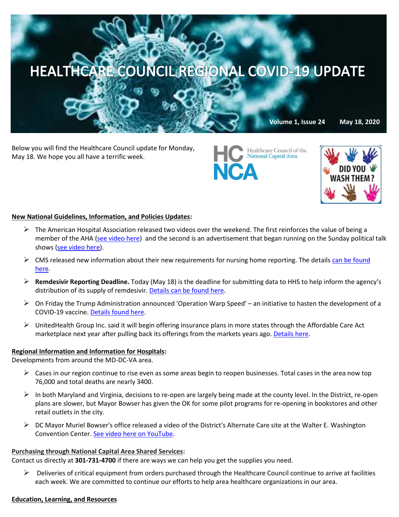

Below you will find the Healthcare Council update for Monday, May 18. We hope you all have a terrific week.





## **New National Guidelines, Information, and Policies Updates:**

- $\triangleright$  The American Hospital Association released two videos over the weekend. The first reinforces the value of being a member of the AHA [\(see video here\)](https://www.youtube.com/watch?v=e8JYsOfFI2A&feature=youtu.be) and the second is an advertisement that began running on the Sunday political talk show[s \(see video here\).](https://www.youtube.com/watch?v=jCGSTuL1sZw&feature=youtu.be)
- $\triangleright$  CMS released new information about their new requirements for nursing home reporting. The details can be found [here.](https://www.cdc.gov/nhsn/ltc/covid19/index.html)
- **Remdesivir Reporting Deadline.** Today (May 18) is the deadline for submitting data to HHS to help inform the agency's distribution of its supply of remdesivir. [Details can be found here.](https://contentsharing.net/actions/email_web_version.cfm?ep=Bdhtp-zVuqFkgQiV6-lxty0f-nrLBJWzuTngPvD-5dUwgMMVyFWxrh4sVl1DWTMgFcsvUdLn948iCsVHEEaUnfkYifV0QfzqjaLzmN9xGlPeGnWIlLA3oZXHL-W99jYh)
- $\triangleright$  On Friday the Trump Administration announced 'Operation Warp Speed' an initiative to hasten the development of a COVID-19 vaccine[. Details found here.](https://www.bloomberg.com/news/articles/2020-05-15/trump-to-introduce-warp-speed-leaders-after-vaccine-criticism?mkt_tok=eyJpIjoiTnpZelpUaGpORGc0WWpFMCIsInQiOiJFUE0waExrNWprR3ZHYXhLd3VvcU5ZSHh1RU9GN2dsc2RlbTMweXZBUlNiRHVKSm1ycE8xSVJUZ1RMb09XVTByQnRTOUgrVnAyUGFKb1huWTBVSnRvclRRajNIVnFMa1ZjZzhoRXhCbjJIb0NjWitnMXA4dHJobzRoUmJ1QTlHdiJ9)
- $\triangleright$  UnitedHealth Group Inc. said it will begin offering insurance plans in more states through the Affordable Care Act marketplace next year after pulling back its offerings from the markets years ago. [Details here.](https://www.bloomberg.com/news/articles/2020-05-12/unitedhealth-group-plans-return-to-obamacare-markets-in-2021?sref=GogtSAl4&mkt_tok=eyJpIjoiTm1WbVltUmtaRE0wTmpFMCIsInQiOiJaNDVJK3VWQVRVOHg1OXRUWmRQcm5UK0l3eEVmUVBDcWhIODdqZU1Ia1RCUjRHNEFqSFd3YmdYOVZjNWsydU1jVEQrdWE0MCt4XC8zUHF3ZFdlbWNNU1FNOVdmT1p4aVNhem1NMjJoZVwvcjh0UkE1S3ZlY2pTWjFUTkpPd0Rad3g5In0=)

### **Regional Information and Information for Hospitals:**

Developments from around the MD-DC-VA area.

- $\triangleright$  Cases in our region continue to rise even as some areas begin to reopen businesses. Total cases in the area now top 76,000 and total deaths are nearly 3400.
- $\triangleright$  In both Maryland and Virginia, decisions to re-open are largely being made at the county level. In the District, re-open plans are slower, but Mayor Bowser has given the OK for some pilot programs for re-opening in bookstores and other retail outlets in the city.
- $\triangleright$  DC Mayor Muriel Bowser's office released a video of the District's Alternate Care site at the Walter E. Washington Convention Center. [See video here on YouTube.](https://www.youtube.com/watch?v=wiIC7uIJYRs)

### **Purchasing through National Capital Area Shared Services:**

Contact us directly at **301-731-4700** if there are ways we can help you get the supplies you need.

 $\triangleright$  Deliveries of critical equipment from orders purchased through the Healthcare Council continue to arrive at facilities each week. We are committed to continue our efforts to help area healthcare organizations in our area.

#### **Education, Learning, and Resources**